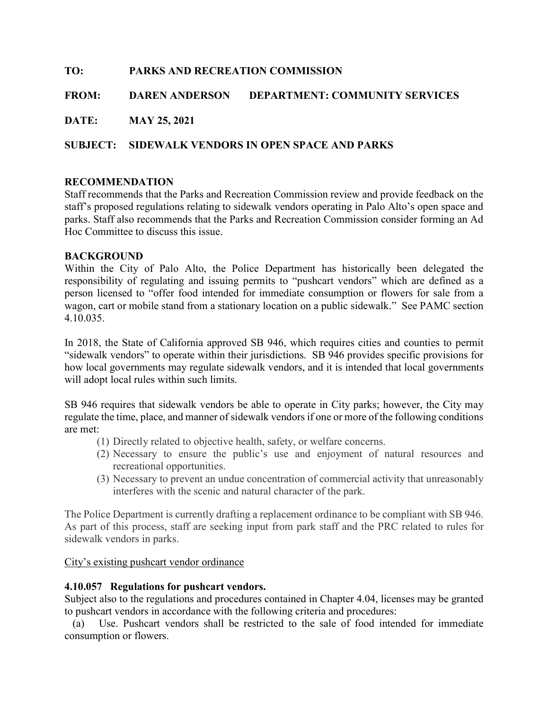# TO: PARKS AND RECREATION COMMISSION FROM: DAREN ANDERSON DEPARTMENT: COMMUNITY SERVICES DATE: MAY 25, 2021 SUBJECT: SIDEWALK VENDORS IN OPEN SPACE AND PARKS

# RECOMMENDATION

Staff recommends that the Parks and Recreation Commission review and provide feedback on the staff's proposed regulations relating to sidewalk vendors operating in Palo Alto's open space and parks. Staff also recommends that the Parks and Recreation Commission consider forming an Ad Hoc Committee to discuss this issue.

### BACKGROUND

Within the City of Palo Alto, the Police Department has historically been delegated the responsibility of regulating and issuing permits to "pushcart vendors" which are defined as a person licensed to "offer food intended for immediate consumption or flowers for sale from a wagon, cart or mobile stand from a stationary location on a public sidewalk." See PAMC section 4.10.035.

In 2018, the State of California approved SB 946, which requires cities and counties to permit "sidewalk vendors" to operate within their jurisdictions. SB 946 provides specific provisions for how local governments may regulate sidewalk vendors, and it is intended that local governments will adopt local rules within such limits.

SB 946 requires that sidewalk vendors be able to operate in City parks; however, the City may regulate the time, place, and manner of sidewalk vendors if one or more of the following conditions are met:

- (1) Directly related to objective health, safety, or welfare concerns.
- (2) Necessary to ensure the public's use and enjoyment of natural resources and recreational opportunities.
- (3) Necessary to prevent an undue concentration of commercial activity that unreasonably interferes with the scenic and natural character of the park.

The Police Department is currently drafting a replacement ordinance to be compliant with SB 946. As part of this process, staff are seeking input from park staff and the PRC related to rules for sidewalk vendors in parks.

City's existing pushcart vendor ordinance

#### 4.10.057 Regulations for pushcart vendors.

Subject also to the regulations and procedures contained in Chapter 4.04, licenses may be granted to pushcart vendors in accordance with the following criteria and procedures:

 (a) Use. Pushcart vendors shall be restricted to the sale of food intended for immediate consumption or flowers.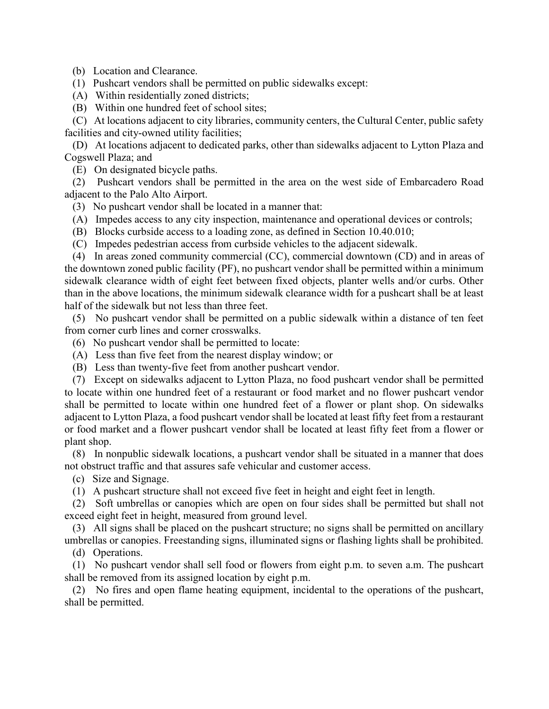(b) Location and Clearance.

(1) Pushcart vendors shall be permitted on public sidewalks except:

- (A) Within residentially zoned districts;
- (B) Within one hundred feet of school sites;

 (C) At locations adjacent to city libraries, community centers, the Cultural Center, public safety facilities and city-owned utility facilities;

 (D) At locations adjacent to dedicated parks, other than sidewalks adjacent to Lytton Plaza and Cogswell Plaza; and

(E) On designated bicycle paths.

 (2) Pushcart vendors shall be permitted in the area on the west side of Embarcadero Road adjacent to the Palo Alto Airport.

(3) No pushcart vendor shall be located in a manner that:

(A) Impedes access to any city inspection, maintenance and operational devices or controls;

- (B) Blocks curbside access to a loading zone, as defined in Section 10.40.010;
- (C) Impedes pedestrian access from curbside vehicles to the adjacent sidewalk.

 (4) In areas zoned community commercial (CC), commercial downtown (CD) and in areas of the downtown zoned public facility (PF), no pushcart vendor shall be permitted within a minimum sidewalk clearance width of eight feet between fixed objects, planter wells and/or curbs. Other than in the above locations, the minimum sidewalk clearance width for a pushcart shall be at least half of the sidewalk but not less than three feet.

 (5) No pushcart vendor shall be permitted on a public sidewalk within a distance of ten feet from corner curb lines and corner crosswalks.

(6) No pushcart vendor shall be permitted to locate:

- (A) Less than five feet from the nearest display window; or
- (B) Less than twenty-five feet from another pushcart vendor.

 (7) Except on sidewalks adjacent to Lytton Plaza, no food pushcart vendor shall be permitted to locate within one hundred feet of a restaurant or food market and no flower pushcart vendor shall be permitted to locate within one hundred feet of a flower or plant shop. On sidewalks adjacent to Lytton Plaza, a food pushcart vendor shall be located at least fifty feet from a restaurant or food market and a flower pushcart vendor shall be located at least fifty feet from a flower or plant shop.

 (8) In nonpublic sidewalk locations, a pushcart vendor shall be situated in a manner that does not obstruct traffic and that assures safe vehicular and customer access.

(c) Size and Signage.

(1) A pushcart structure shall not exceed five feet in height and eight feet in length.

 (2) Soft umbrellas or canopies which are open on four sides shall be permitted but shall not exceed eight feet in height, measured from ground level.

 (3) All signs shall be placed on the pushcart structure; no signs shall be permitted on ancillary umbrellas or canopies. Freestanding signs, illuminated signs or flashing lights shall be prohibited.

(d) Operations.

 (1) No pushcart vendor shall sell food or flowers from eight p.m. to seven a.m. The pushcart shall be removed from its assigned location by eight p.m.

 (2) No fires and open flame heating equipment, incidental to the operations of the pushcart, shall be permitted.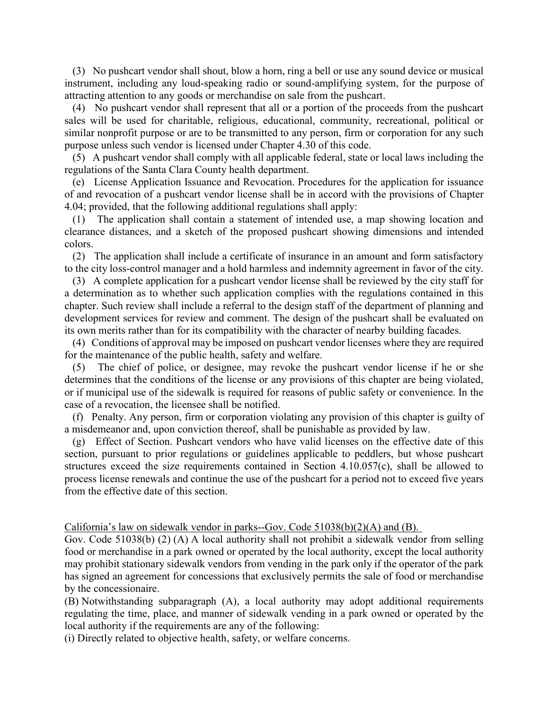(3) No pushcart vendor shall shout, blow a horn, ring a bell or use any sound device or musical instrument, including any loud-speaking radio or sound-amplifying system, for the purpose of attracting attention to any goods or merchandise on sale from the pushcart.

 (4) No pushcart vendor shall represent that all or a portion of the proceeds from the pushcart sales will be used for charitable, religious, educational, community, recreational, political or similar nonprofit purpose or are to be transmitted to any person, firm or corporation for any such purpose unless such vendor is licensed under Chapter 4.30 of this code.

 (5) A pushcart vendor shall comply with all applicable federal, state or local laws including the regulations of the Santa Clara County health department.

 (e) License Application Issuance and Revocation. Procedures for the application for issuance of and revocation of a pushcart vendor license shall be in accord with the provisions of Chapter 4.04; provided, that the following additional regulations shall apply:

 (1) The application shall contain a statement of intended use, a map showing location and clearance distances, and a sketch of the proposed pushcart showing dimensions and intended colors.

 (2) The application shall include a certificate of insurance in an amount and form satisfactory to the city loss-control manager and a hold harmless and indemnity agreement in favor of the city.

 (3) A complete application for a pushcart vendor license shall be reviewed by the city staff for a determination as to whether such application complies with the regulations contained in this chapter. Such review shall include a referral to the design staff of the department of planning and development services for review and comment. The design of the pushcart shall be evaluated on its own merits rather than for its compatibility with the character of nearby building facades.

 (4) Conditions of approval may be imposed on pushcart vendor licenses where they are required for the maintenance of the public health, safety and welfare.

 (5) The chief of police, or designee, may revoke the pushcart vendor license if he or she determines that the conditions of the license or any provisions of this chapter are being violated, or if municipal use of the sidewalk is required for reasons of public safety or convenience. In the case of a revocation, the licensee shall be notified.

 (f) Penalty. Any person, firm or corporation violating any provision of this chapter is guilty of a misdemeanor and, upon conviction thereof, shall be punishable as provided by law.

 (g) Effect of Section. Pushcart vendors who have valid licenses on the effective date of this section, pursuant to prior regulations or guidelines applicable to peddlers, but whose pushcart structures exceed the size requirements contained in Section 4.10.057(c), shall be allowed to process license renewals and continue the use of the pushcart for a period not to exceed five years from the effective date of this section.

California's law on sidewalk vendor in parks--Gov. Code 51038(b)(2)(A) and (B).

Gov. Code 51038(b) (2) (A) A local authority shall not prohibit a sidewalk vendor from selling food or merchandise in a park owned or operated by the local authority, except the local authority may prohibit stationary sidewalk vendors from vending in the park only if the operator of the park has signed an agreement for concessions that exclusively permits the sale of food or merchandise by the concessionaire.

(B) Notwithstanding subparagraph (A), a local authority may adopt additional requirements regulating the time, place, and manner of sidewalk vending in a park owned or operated by the local authority if the requirements are any of the following:

(i) Directly related to objective health, safety, or welfare concerns.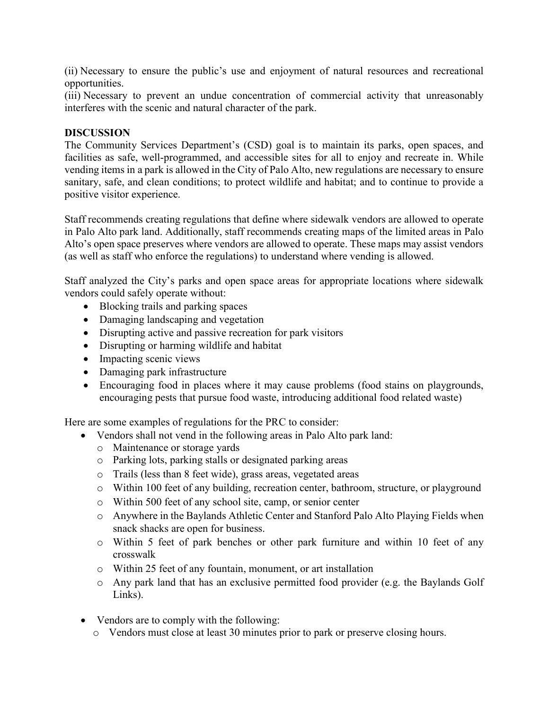(ii) Necessary to ensure the public's use and enjoyment of natural resources and recreational opportunities.

(iii) Necessary to prevent an undue concentration of commercial activity that unreasonably interferes with the scenic and natural character of the park.

### DISCUSSION

The Community Services Department's (CSD) goal is to maintain its parks, open spaces, and facilities as safe, well-programmed, and accessible sites for all to enjoy and recreate in. While vending items in a park is allowed in the City of Palo Alto, new regulations are necessary to ensure sanitary, safe, and clean conditions; to protect wildlife and habitat; and to continue to provide a positive visitor experience.

Staff recommends creating regulations that define where sidewalk vendors are allowed to operate in Palo Alto park land. Additionally, staff recommends creating maps of the limited areas in Palo Alto's open space preserves where vendors are allowed to operate. These maps may assist vendors (as well as staff who enforce the regulations) to understand where vending is allowed.

Staff analyzed the City's parks and open space areas for appropriate locations where sidewalk vendors could safely operate without:

- Blocking trails and parking spaces
- Damaging landscaping and vegetation
- Disrupting active and passive recreation for park visitors
- Disrupting or harming wildlife and habitat
- Impacting scenic views
- Damaging park infrastructure
- Encouraging food in places where it may cause problems (food stains on playgrounds, encouraging pests that pursue food waste, introducing additional food related waste)

Here are some examples of regulations for the PRC to consider:

- Vendors shall not vend in the following areas in Palo Alto park land:
	- o Maintenance or storage yards
	- o Parking lots, parking stalls or designated parking areas
	- o Trails (less than 8 feet wide), grass areas, vegetated areas
	- o Within 100 feet of any building, recreation center, bathroom, structure, or playground
	- o Within 500 feet of any school site, camp, or senior center
	- o Anywhere in the Baylands Athletic Center and Stanford Palo Alto Playing Fields when snack shacks are open for business.
	- o Within 5 feet of park benches or other park furniture and within 10 feet of any crosswalk
	- o Within 25 feet of any fountain, monument, or art installation
	- o Any park land that has an exclusive permitted food provider (e.g. the Baylands Golf Links).
- Vendors are to comply with the following:
	- o Vendors must close at least 30 minutes prior to park or preserve closing hours.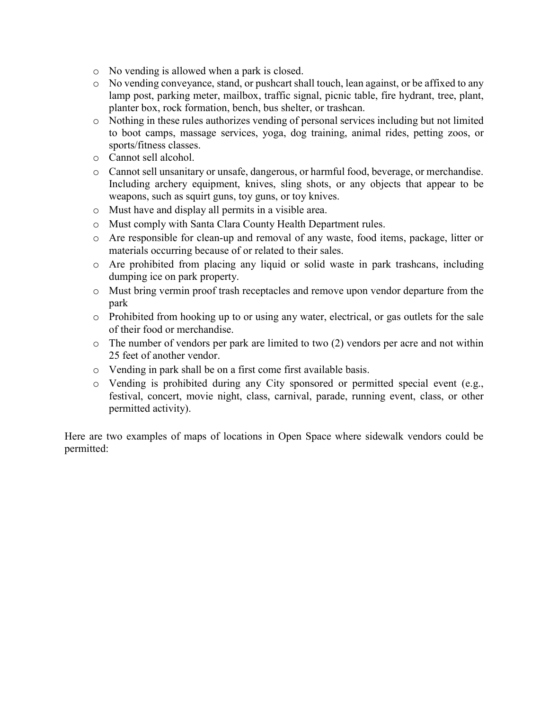- o No vending is allowed when a park is closed.
- o No vending conveyance, stand, or pushcart shall touch, lean against, or be affixed to any lamp post, parking meter, mailbox, traffic signal, picnic table, fire hydrant, tree, plant, planter box, rock formation, bench, bus shelter, or trashcan.
- o Nothing in these rules authorizes vending of personal services including but not limited to boot camps, massage services, yoga, dog training, animal rides, petting zoos, or sports/fitness classes.
- o Cannot sell alcohol.
- o Cannot sell unsanitary or unsafe, dangerous, or harmful food, beverage, or merchandise. Including archery equipment, knives, sling shots, or any objects that appear to be weapons, such as squirt guns, toy guns, or toy knives.
- o Must have and display all permits in a visible area.
- o Must comply with Santa Clara County Health Department rules.
- o Are responsible for clean-up and removal of any waste, food items, package, litter or materials occurring because of or related to their sales.
- o Are prohibited from placing any liquid or solid waste in park trashcans, including dumping ice on park property.
- o Must bring vermin proof trash receptacles and remove upon vendor departure from the park
- o Prohibited from hooking up to or using any water, electrical, or gas outlets for the sale of their food or merchandise.
- o The number of vendors per park are limited to two (2) vendors per acre and not within 25 feet of another vendor.
- o Vending in park shall be on a first come first available basis.
- o Vending is prohibited during any City sponsored or permitted special event (e.g., festival, concert, movie night, class, carnival, parade, running event, class, or other permitted activity).

Here are two examples of maps of locations in Open Space where sidewalk vendors could be permitted: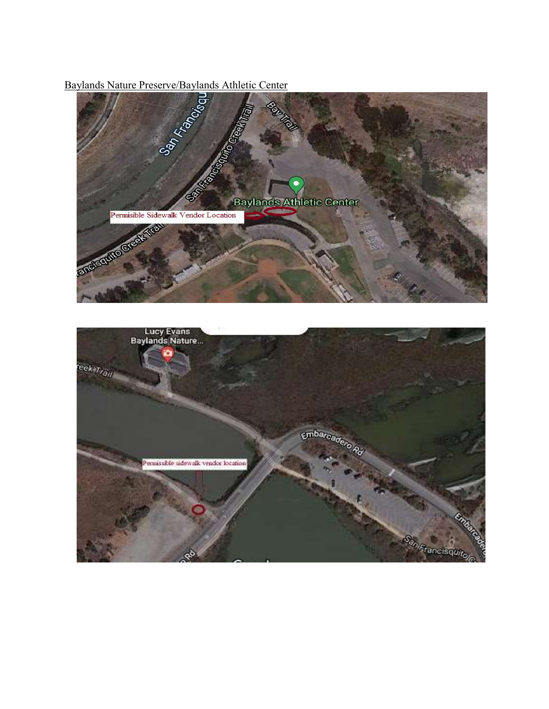